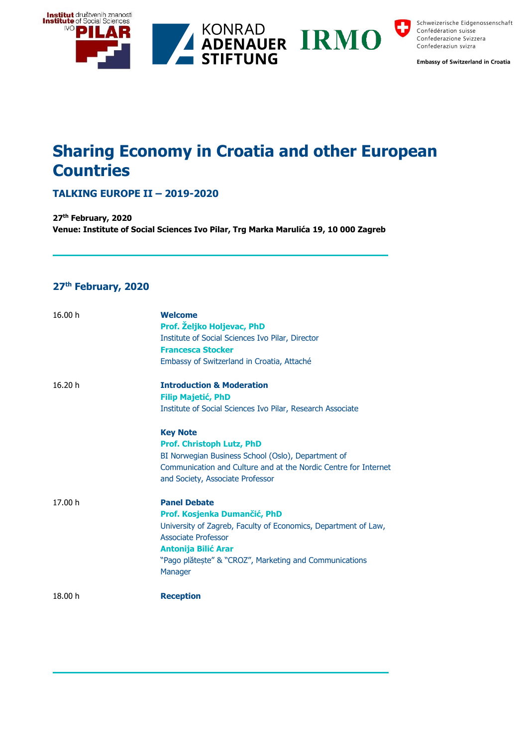

Schweizerische Eidgenossenschaft Confédération suisse Confederazione Svizzera Confederaziun svizra

**Embassy of Switzerland in Croatia** 

# **Sharing Economy in Croatia and other European Countries**

## **TALKING EUROPE II – 2019-2020**

**27th February, 2020 Venue: Institute of Social Sciences Ivo Pilar, Trg Marka Marulića 19, 10 000 Zagreb**

## **27th February, 2020**

| 16.00 h | <b>Welcome</b><br>Prof. Željko Holjevac, PhD<br>Institute of Social Sciences Ivo Pilar, Director<br><b>Francesca Stocker</b><br>Embassy of Switzerland in Croatia, Attaché                                                                             |
|---------|--------------------------------------------------------------------------------------------------------------------------------------------------------------------------------------------------------------------------------------------------------|
| 16.20 h | <b>Introduction &amp; Moderation</b><br><b>Filip Majetić, PhD</b><br>Institute of Social Sciences Ivo Pilar, Research Associate                                                                                                                        |
|         | <b>Key Note</b><br>Prof. Christoph Lutz, PhD<br>BI Norwegian Business School (Oslo), Department of<br>Communication and Culture and at the Nordic Centre for Internet<br>and Society, Associate Professor                                              |
| 17.00 h | <b>Panel Debate</b><br>Prof. Kosjenka Dumančić, PhD<br>University of Zagreb, Faculty of Economics, Department of Law,<br><b>Associate Professor</b><br><b>Antonija Bilić Arar</b><br>"Pago plătește" & "CROZ", Marketing and Communications<br>Manager |
| 18.00 h | <b>Reception</b>                                                                                                                                                                                                                                       |